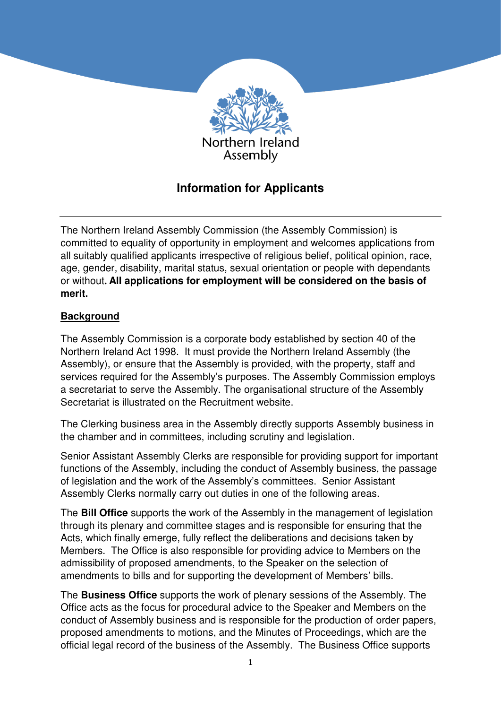

# **Information for Applicants**

The Northern Ireland Assembly Commission (the Assembly Commission) is committed to equality of opportunity in employment and welcomes applications from all suitably qualified applicants irrespective of religious belief, political opinion, race, age, gender, disability, marital status, sexual orientation or people with dependants or without**. All applications for employment will be considered on the basis of merit.**

## **Background**

The Assembly Commission is a corporate body established by section 40 of the Northern Ireland Act 1998. It must provide the Northern Ireland Assembly (the Assembly), or ensure that the Assembly is provided, with the property, staff and services required for the Assembly's purposes. The Assembly Commission employs a secretariat to serve the Assembly. The organisational structure of the Assembly Secretariat is illustrated on the Recruitment website.

The Clerking business area in the Assembly directly supports Assembly business in the chamber and in committees, including scrutiny and legislation.

Senior Assistant Assembly Clerks are responsible for providing support for important functions of the Assembly, including the conduct of Assembly business, the passage of legislation and the work of the Assembly's committees. Senior Assistant Assembly Clerks normally carry out duties in one of the following areas.

The **Bill Office** supports the work of the Assembly in the management of legislation through its plenary and committee stages and is responsible for ensuring that the Acts, which finally emerge, fully reflect the deliberations and decisions taken by Members. The Office is also responsible for providing advice to Members on the admissibility of proposed amendments, to the Speaker on the selection of amendments to bills and for supporting the development of Members' bills.

The **Business Office** supports the work of plenary sessions of the Assembly. The Office acts as the focus for procedural advice to the Speaker and Members on the conduct of Assembly business and is responsible for the production of order papers, proposed amendments to motions, and the Minutes of Proceedings, which are the official legal record of the business of the Assembly. The Business Office supports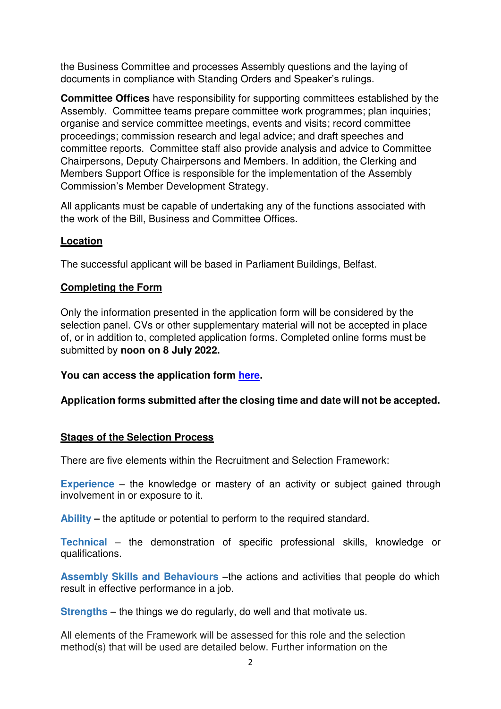the Business Committee and processes Assembly questions and the laying of documents in compliance with Standing Orders and Speaker's rulings.

**Committee Offices** have responsibility for supporting committees established by the Assembly. Committee teams prepare committee work programmes; plan inquiries; organise and service committee meetings, events and visits; record committee proceedings; commission research and legal advice; and draft speeches and committee reports. Committee staff also provide analysis and advice to Committee Chairpersons, Deputy Chairpersons and Members. In addition, the Clerking and Members Support Office is responsible for the implementation of the Assembly Commission's Member Development Strategy.

All applicants must be capable of undertaking any of the functions associated with the work of the Bill, Business and Committee Offices.

### **Location**

The successful applicant will be based in Parliament Buildings, Belfast.

### **Completing the Form**

Only the information presented in the application form will be considered by the selection panel. CVs or other supplementary material will not be accepted in place of, or in addition to, completed application forms. Completed online forms must be submitted by **noon on 8 July 2022.**

#### **You can access the application form here.**

### **Application forms submitted after the closing time and date will not be accepted.**

#### **Stages of the Selection Process**

There are five elements within the Recruitment and Selection Framework:

**Experience** – the knowledge or mastery of an activity or subject gained through involvement in or exposure to it.

**Ability –** the aptitude or potential to perform to the required standard.

**Technical** – the demonstration of specific professional skills, knowledge or qualifications.

**Assembly Skills and Behaviours** –the actions and activities that people do which result in effective performance in a job.

**Strengths** – the things we do regularly, do well and that motivate us.

All elements of the Framework will be assessed for this role and the selection method(s) that will be used are detailed below. Further information on the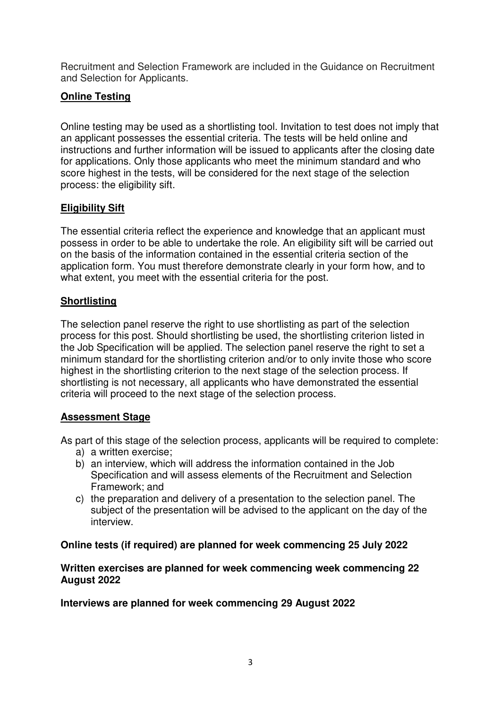Recruitment and Selection Framework are included in the Guidance on Recruitment and Selection for Applicants.

# **Online Testing**

Online testing may be used as a shortlisting tool. Invitation to test does not imply that an applicant possesses the essential criteria. The tests will be held online and instructions and further information will be issued to applicants after the closing date for applications. Only those applicants who meet the minimum standard and who score highest in the tests, will be considered for the next stage of the selection process: the eligibility sift.

## **Eligibility Sift**

The essential criteria reflect the experience and knowledge that an applicant must possess in order to be able to undertake the role. An eligibility sift will be carried out on the basis of the information contained in the essential criteria section of the application form. You must therefore demonstrate clearly in your form how, and to what extent, you meet with the essential criteria for the post.

# **Shortlisting**

The selection panel reserve the right to use shortlisting as part of the selection process for this post. Should shortlisting be used, the shortlisting criterion listed in the Job Specification will be applied. The selection panel reserve the right to set a minimum standard for the shortlisting criterion and/or to only invite those who score highest in the shortlisting criterion to the next stage of the selection process. If shortlisting is not necessary, all applicants who have demonstrated the essential criteria will proceed to the next stage of the selection process.

# **Assessment Stage**

As part of this stage of the selection process, applicants will be required to complete:

- a) a written exercise;
- b) an interview, which will address the information contained in the Job Specification and will assess elements of the Recruitment and Selection Framework; and
- c) the preparation and delivery of a presentation to the selection panel. The subject of the presentation will be advised to the applicant on the day of the interview.

### **Online tests (if required) are planned for week commencing 25 July 2022**

#### **Written exercises are planned for week commencing week commencing 22 August 2022**

**Interviews are planned for week commencing 29 August 2022**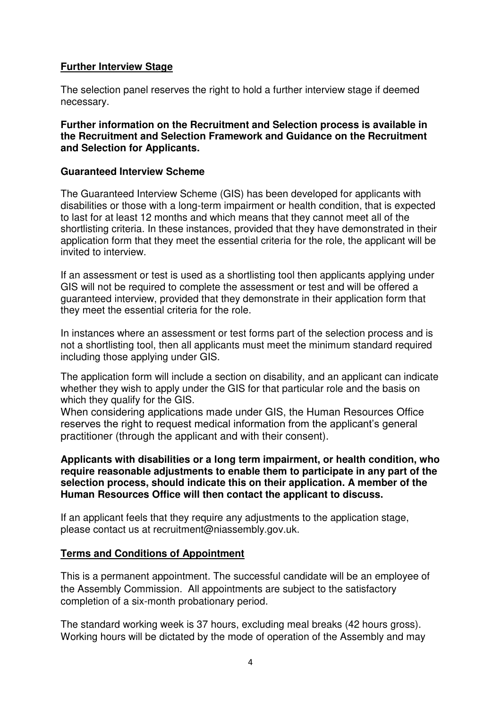### **Further Interview Stage**

The selection panel reserves the right to hold a further interview stage if deemed necessary.

**Further information on the Recruitment and Selection process is available in the Recruitment and Selection Framework and Guidance on the Recruitment and Selection for Applicants.** 

#### **Guaranteed Interview Scheme**

The Guaranteed Interview Scheme (GIS) has been developed for applicants with disabilities or those with a long-term impairment or health condition, that is expected to last for at least 12 months and which means that they cannot meet all of the shortlisting criteria. In these instances, provided that they have demonstrated in their application form that they meet the essential criteria for the role, the applicant will be invited to interview.

If an assessment or test is used as a shortlisting tool then applicants applying under GIS will not be required to complete the assessment or test and will be offered a guaranteed interview, provided that they demonstrate in their application form that they meet the essential criteria for the role.

In instances where an assessment or test forms part of the selection process and is not a shortlisting tool, then all applicants must meet the minimum standard required including those applying under GIS.

The application form will include a section on disability, and an applicant can indicate whether they wish to apply under the GIS for that particular role and the basis on which they qualify for the GIS.

When considering applications made under GIS, the Human Resources Office reserves the right to request medical information from the applicant's general practitioner (through the applicant and with their consent).

#### **Applicants with disabilities or a long term impairment, or health condition, who require reasonable adjustments to enable them to participate in any part of the selection process, should indicate this on their application. A member of the Human Resources Office will then contact the applicant to discuss.**

If an applicant feels that they require any adjustments to the application stage, please contact us at recruitment@niassembly.gov.uk.

### **Terms and Conditions of Appointment**

This is a permanent appointment. The successful candidate will be an employee of the Assembly Commission. All appointments are subject to the satisfactory completion of a six-month probationary period.

The standard working week is 37 hours, excluding meal breaks (42 hours gross). Working hours will be dictated by the mode of operation of the Assembly and may